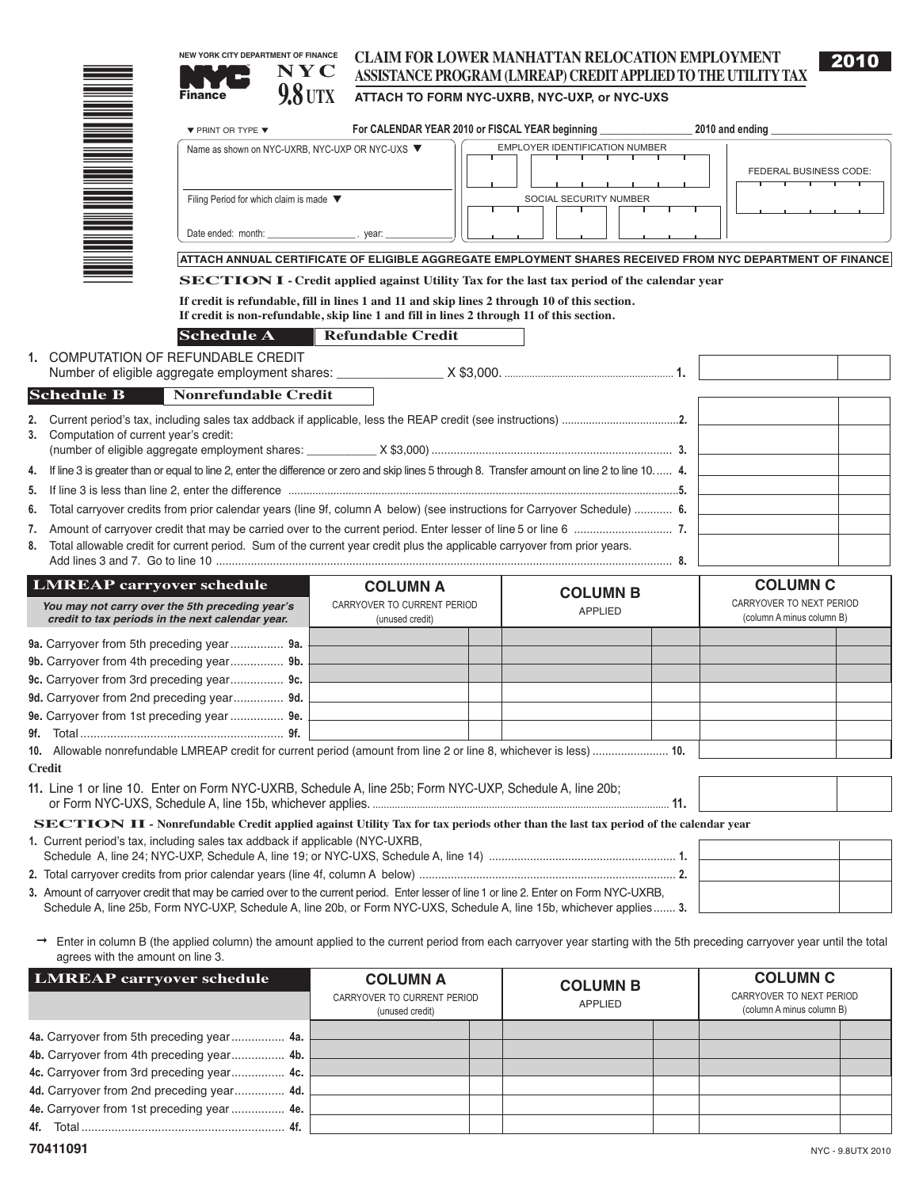|                   | NEW YORK CITY DEPARTMENT OF FINANCE CLAIM FOR LOWER MANHATTAN RELOCATION EMPLOYMENT |
|-------------------|-------------------------------------------------------------------------------------|
| <b>NYC</b><br>NYC | ASSISTANCE PROGRAM (LMREAP) CREDIT APPLIED TO THE UTILITY TAX                       |

|          |                                                                                                                                                                                                                                                                  | <b>9.8 UTX</b><br><b>Finance</b>                                                                                                                                                                                                                                                               | ATTACH TO FORM NYC-UXRB, NYC-UXP, or NYC-UXS                      |                                                 |                                   |  |                                                       |  |  |
|----------|------------------------------------------------------------------------------------------------------------------------------------------------------------------------------------------------------------------------------------------------------------------|------------------------------------------------------------------------------------------------------------------------------------------------------------------------------------------------------------------------------------------------------------------------------------------------|-------------------------------------------------------------------|-------------------------------------------------|-----------------------------------|--|-------------------------------------------------------|--|--|
|          |                                                                                                                                                                                                                                                                  | $\blacktriangledown$ PRINT OR TYPE $\blacktriangledown$                                                                                                                                                                                                                                        |                                                                   | For CALENDAR YEAR 2010 or FISCAL YEAR beginning |                                   |  | 2010 and ending                                       |  |  |
|          |                                                                                                                                                                                                                                                                  | Name as shown on NYC-UXRB, NYC-UXP OR NYC-UXS ▼                                                                                                                                                                                                                                                |                                                                   |                                                 | EMPLOYER IDENTIFICATION NUMBER    |  | FEDERAL BUSINESS CODE:                                |  |  |
|          | NIN MINIT                                                                                                                                                                                                                                                        | Filing Period for which claim is made ▼                                                                                                                                                                                                                                                        |                                                                   |                                                 | SOCIAL SECURITY NUMBER            |  |                                                       |  |  |
|          |                                                                                                                                                                                                                                                                  | Date ended: month: ___________________________, year:                                                                                                                                                                                                                                          |                                                                   |                                                 |                                   |  |                                                       |  |  |
|          |                                                                                                                                                                                                                                                                  | ATTACH ANNUAL CERTIFICATE OF ELIGIBLE AGGREGATE EMPLOYMENT SHARES RECEIVED FROM NYC DEPARTMENT OF FINANCE                                                                                                                                                                                      |                                                                   |                                                 |                                   |  |                                                       |  |  |
|          |                                                                                                                                                                                                                                                                  | <b>SECTION I</b> - Credit applied against Utility Tax for the last tax period of the calendar year<br>If credit is refundable, fill in lines 1 and 11 and skip lines 2 through 10 of this section.<br>If credit is non-refundable, skip line 1 and fill in lines 2 through 11 of this section. |                                                                   |                                                 |                                   |  |                                                       |  |  |
|          |                                                                                                                                                                                                                                                                  | <b>Schedule A</b>                                                                                                                                                                                                                                                                              | <b>Refundable Credit</b>                                          |                                                 |                                   |  |                                                       |  |  |
|          |                                                                                                                                                                                                                                                                  | 1. COMPUTATION OF REFUNDABLE CREDIT                                                                                                                                                                                                                                                            |                                                                   |                                                 |                                   |  |                                                       |  |  |
|          | <b>Schedule B</b>                                                                                                                                                                                                                                                | <b>Nonrefundable Credit</b>                                                                                                                                                                                                                                                                    |                                                                   |                                                 |                                   |  |                                                       |  |  |
| 2.       | 3. Computation of current year's credit:                                                                                                                                                                                                                         |                                                                                                                                                                                                                                                                                                |                                                                   |                                                 |                                   |  |                                                       |  |  |
|          |                                                                                                                                                                                                                                                                  | 4. If line 3 is greater than or equal to line 2, enter the difference or zero and skip lines 5 through 8. Transfer amount on line 2 to line 10 4.                                                                                                                                              |                                                                   |                                                 |                                   |  |                                                       |  |  |
| 5.       |                                                                                                                                                                                                                                                                  |                                                                                                                                                                                                                                                                                                |                                                                   |                                                 |                                   |  |                                                       |  |  |
| 6.       |                                                                                                                                                                                                                                                                  | Total carryover credits from prior calendar years (line 9f, column A below) (see instructions for Carryover Schedule)  6.                                                                                                                                                                      |                                                                   |                                                 |                                   |  |                                                       |  |  |
| 7.<br>8. |                                                                                                                                                                                                                                                                  | Total allowable credit for current period. Sum of the current year credit plus the applicable carryover from prior years.                                                                                                                                                                      |                                                                   |                                                 |                                   |  |                                                       |  |  |
|          | <b>LMREAP</b> carryover schedule                                                                                                                                                                                                                                 |                                                                                                                                                                                                                                                                                                |                                                                   |                                                 |                                   |  | <b>COLUMN C</b>                                       |  |  |
|          |                                                                                                                                                                                                                                                                  | You may not carry over the 5th preceding year's<br>credit to tax periods in the next calendar year.                                                                                                                                                                                            | <b>COLUMN A</b><br>CARRYOVER TO CURRENT PERIOD<br>(unused credit) |                                                 | <b>COLUMN B</b><br><b>APPLIED</b> |  | CARRYOVER TO NEXT PERIOD<br>(column A minus column B) |  |  |
|          |                                                                                                                                                                                                                                                                  | 9a. Carryover from 5th preceding year 9a.                                                                                                                                                                                                                                                      |                                                                   |                                                 |                                   |  |                                                       |  |  |
|          |                                                                                                                                                                                                                                                                  | 9b. Carryover from 4th preceding year 9b.                                                                                                                                                                                                                                                      |                                                                   |                                                 |                                   |  |                                                       |  |  |
|          |                                                                                                                                                                                                                                                                  | 9c. Carryover from 3rd preceding year 9c.                                                                                                                                                                                                                                                      |                                                                   |                                                 |                                   |  |                                                       |  |  |
|          |                                                                                                                                                                                                                                                                  | 9d. Carryover from 2nd preceding year 9d.                                                                                                                                                                                                                                                      |                                                                   |                                                 |                                   |  |                                                       |  |  |
|          |                                                                                                                                                                                                                                                                  | 9e. Carryover from 1st preceding year  9e.                                                                                                                                                                                                                                                     |                                                                   |                                                 |                                   |  |                                                       |  |  |
| 9f.      |                                                                                                                                                                                                                                                                  |                                                                                                                                                                                                                                                                                                |                                                                   |                                                 |                                   |  |                                                       |  |  |
|          |                                                                                                                                                                                                                                                                  | 10. Allowable nonrefundable LMREAP credit for current period (amount from line 2 or line 8, whichever is less)  10.                                                                                                                                                                            |                                                                   |                                                 |                                   |  |                                                       |  |  |
|          | <b>Credit</b>                                                                                                                                                                                                                                                    | 11. Line 1 or line 10. Enter on Form NYC-UXRB, Schedule A, line 25b; Form NYC-UXP, Schedule A, line 20b;                                                                                                                                                                                       |                                                                   |                                                 |                                   |  |                                                       |  |  |
|          |                                                                                                                                                                                                                                                                  | <b>SECTION II</b> - Nonrefundable Credit applied against Utility Tax for tax periods other than the last tax period of the calendar year                                                                                                                                                       |                                                                   |                                                 |                                   |  |                                                       |  |  |
|          |                                                                                                                                                                                                                                                                  | 1. Current period's tax, including sales tax addback if applicable (NYC-UXRB,                                                                                                                                                                                                                  |                                                                   |                                                 |                                   |  |                                                       |  |  |
|          |                                                                                                                                                                                                                                                                  |                                                                                                                                                                                                                                                                                                |                                                                   |                                                 |                                   |  |                                                       |  |  |
|          | 3. Amount of carryover credit that may be carried over to the current period. Enter lesser of line 1 or line 2. Enter on Form NYC-UXRB,<br>Schedule A, line 25b, Form NYC-UXP, Schedule A, line 20b, or Form NYC-UXS, Schedule A, line 15b, whichever applies 3. |                                                                                                                                                                                                                                                                                                |                                                                   |                                                 |                                   |  |                                                       |  |  |

→ Enter in column B (the applied column) the amount applied to the current period from each carryover year starting with the 5th preceding carryover year until the total agrees with the amount on line 3.

| <b>LMREAP carryover schedule</b>           | <b>COLUMN A</b><br>CARRYOVER TO CURRENT PERIOD<br>(unused credit) | <b>COLUMN B</b><br><b>APPLIED</b> | <b>COLUMN C</b><br>CARRYOVER TO NEXT PERIOD<br>(column A minus column B) |  |
|--------------------------------------------|-------------------------------------------------------------------|-----------------------------------|--------------------------------------------------------------------------|--|
| 4a. Carryover from 5th preceding year 4a.  |                                                                   |                                   |                                                                          |  |
| 4b. Carryover from 4th preceding year 4b.  |                                                                   |                                   |                                                                          |  |
| 4c. Carryover from 3rd preceding year 4c.  |                                                                   |                                   |                                                                          |  |
| 4d. Carryover from 2nd preceding year 4d.  |                                                                   |                                   |                                                                          |  |
| 4e. Carryover from 1st preceding year  4e. |                                                                   |                                   |                                                                          |  |
|                                            |                                                                   |                                   |                                                                          |  |

\*

2010